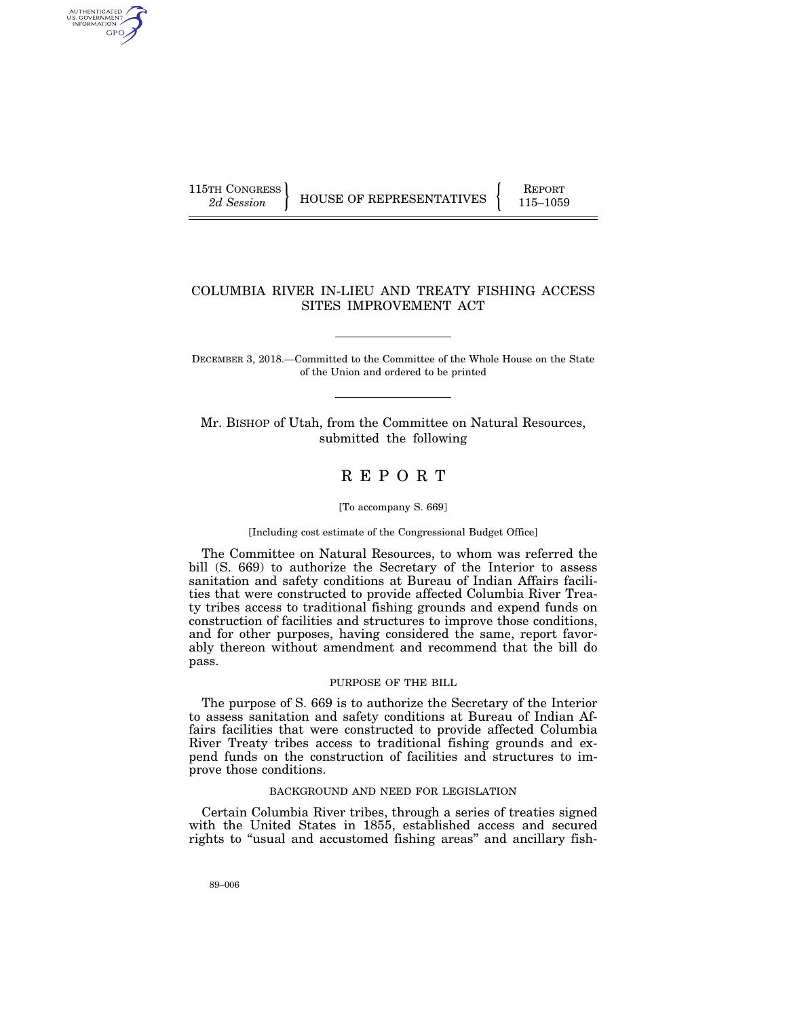AUTHENTICATED U.S. GOVERNMENT GPO

115TH CONGRESS **REPORT 115** HOUSE OF REPRESENTATIVES 115-1059

## COLUMBIA RIVER IN-LIEU AND TREATY FISHING ACCESS SITES IMPROVEMENT ACT

DECEMBER 3, 2018.—Committed to the Committee of the Whole House on the State of the Union and ordered to be printed

Mr. BISHOP of Utah, from the Committee on Natural Resources, submitted the following

# R E P O R T

#### [To accompany S. 669]

#### [Including cost estimate of the Congressional Budget Office]

The Committee on Natural Resources, to whom was referred the bill (S. 669) to authorize the Secretary of the Interior to assess sanitation and safety conditions at Bureau of Indian Affairs facilities that were constructed to provide affected Columbia River Treaty tribes access to traditional fishing grounds and expend funds on construction of facilities and structures to improve those conditions, and for other purposes, having considered the same, report favorably thereon without amendment and recommend that the bill do pass.

## PURPOSE OF THE BILL

The purpose of S. 669 is to authorize the Secretary of the Interior to assess sanitation and safety conditions at Bureau of Indian Affairs facilities that were constructed to provide affected Columbia River Treaty tribes access to traditional fishing grounds and expend funds on the construction of facilities and structures to improve those conditions.

## BACKGROUND AND NEED FOR LEGISLATION

Certain Columbia River tribes, through a series of treaties signed with the United States in 1855, established access and secured rights to "usual and accustomed fishing areas" and ancillary fish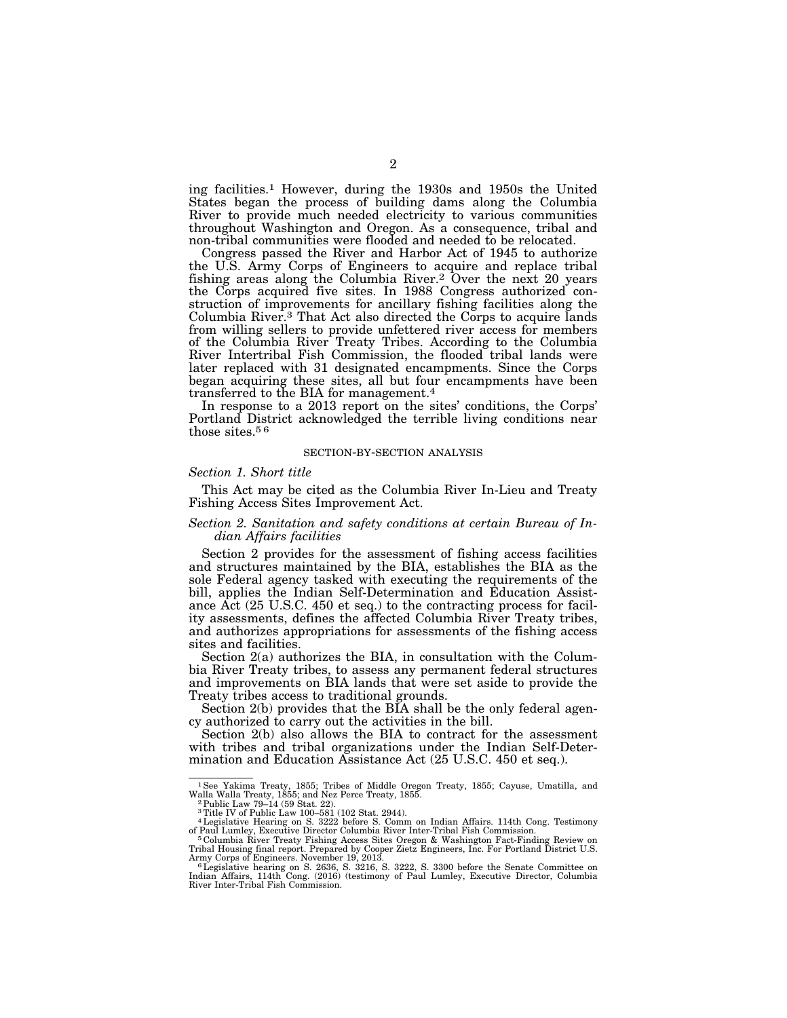ing facilities.1 However, during the 1930s and 1950s the United States began the process of building dams along the Columbia River to provide much needed electricity to various communities throughout Washington and Oregon. As a consequence, tribal and non-tribal communities were flooded and needed to be relocated.

Congress passed the River and Harbor Act of 1945 to authorize the U.S. Army Corps of Engineers to acquire and replace tribal fishing areas along the Columbia River.2 Over the next 20 years the Corps acquired five sites. In 1988 Congress authorized construction of improvements for ancillary fishing facilities along the Columbia River.3 That Act also directed the Corps to acquire lands from willing sellers to provide unfettered river access for members of the Columbia River Treaty Tribes. According to the Columbia River Intertribal Fish Commission, the flooded tribal lands were later replaced with 31 designated encampments. Since the Corps began acquiring these sites, all but four encampments have been transferred to the BIA for management.4

In response to a 2013 report on the sites' conditions, the Corps' Portland District acknowledged the terrible living conditions near those sites.<sup>56</sup>

#### SECTION-BY-SECTION ANALYSIS

#### *Section 1. Short title*

This Act may be cited as the Columbia River In-Lieu and Treaty Fishing Access Sites Improvement Act.

## *Section 2. Sanitation and safety conditions at certain Bureau of Indian Affairs facilities*

Section 2 provides for the assessment of fishing access facilities and structures maintained by the BIA, establishes the BIA as the sole Federal agency tasked with executing the requirements of the bill, applies the Indian Self-Determination and Education Assistance Act (25 U.S.C. 450 et seq.) to the contracting process for facility assessments, defines the affected Columbia River Treaty tribes, and authorizes appropriations for assessments of the fishing access sites and facilities.

Section 2(a) authorizes the BIA, in consultation with the Columbia River Treaty tribes, to assess any permanent federal structures and improvements on BIA lands that were set aside to provide the Treaty tribes access to traditional grounds.

Section 2(b) provides that the BIA shall be the only federal agency authorized to carry out the activities in the bill.

Section 2(b) also allows the BIA to contract for the assessment with tribes and tribal organizations under the Indian Self-Determination and Education Assistance Act (25 U.S.C. 450 et seq.).

<sup>1</sup>See Yakima Treaty, 1855; Tribes of Middle Oregon Treaty, 1855; Cayuse, Umatilla, and Walla Walla Treaty, 1855; and Nez Perce Treaty, 1855. 2Public Law 79–14 (59 Stat. 22).

<sup>3</sup>Title IV of Public Law 100–581 (102 Stat. 2944). 4Legislative Hearing on S. 3222 before S. Comm on Indian Affairs. 114th Cong. Testimony

of Paul Lumley, Executive Director Columbia River Inter-Tribal Fish Commission.<br>『Columbia River Treaty Fishing Access Sites Oregon & Washington Fact-Finding Review on<br>Tribal Housing final report. Prepared by Cooper Zietz E

Army Corps of Engineers. November 19, 2013.<br>"Legislative hearing on S. 2636, S. 3216, S. 3222, S. 3300 before the Senate Committee on<br>Indian Affairs, 114th Cong. (2016) (testimony of Paul Lumley, Executive Director, Columb River Inter-Tribal Fish Commission.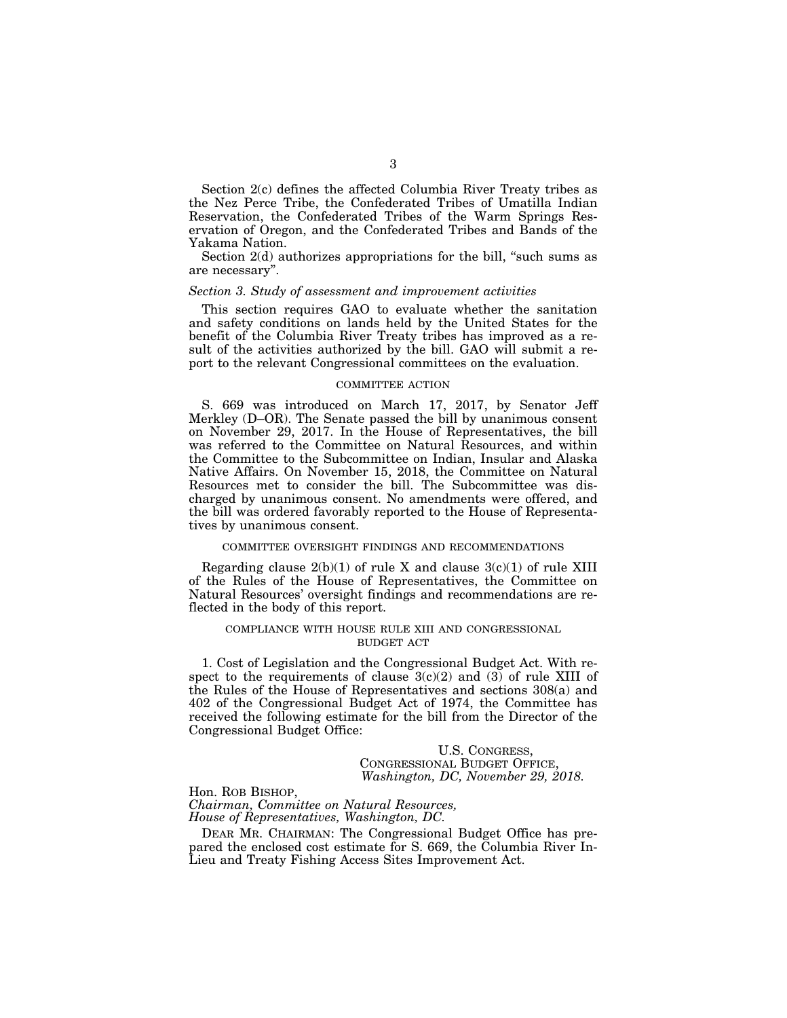Section 2(c) defines the affected Columbia River Treaty tribes as the Nez Perce Tribe, the Confederated Tribes of Umatilla Indian Reservation, the Confederated Tribes of the Warm Springs Reservation of Oregon, and the Confederated Tribes and Bands of the Yakama Nation.

Section  $2(d)$  authorizes appropriations for the bill, "such sums as are necessary''.

## *Section 3. Study of assessment and improvement activities*

This section requires GAO to evaluate whether the sanitation and safety conditions on lands held by the United States for the benefit of the Columbia River Treaty tribes has improved as a result of the activities authorized by the bill. GAO will submit a report to the relevant Congressional committees on the evaluation.

#### COMMITTEE ACTION

S. 669 was introduced on March 17, 2017, by Senator Jeff Merkley (D–OR). The Senate passed the bill by unanimous consent on November 29, 2017. In the House of Representatives, the bill was referred to the Committee on Natural Resources, and within the Committee to the Subcommittee on Indian, Insular and Alaska Native Affairs. On November 15, 2018, the Committee on Natural Resources met to consider the bill. The Subcommittee was discharged by unanimous consent. No amendments were offered, and the bill was ordered favorably reported to the House of Representatives by unanimous consent.

## COMMITTEE OVERSIGHT FINDINGS AND RECOMMENDATIONS

Regarding clause  $2(b)(1)$  of rule X and clause  $3(c)(1)$  of rule XIII of the Rules of the House of Representatives, the Committee on Natural Resources' oversight findings and recommendations are reflected in the body of this report.

## COMPLIANCE WITH HOUSE RULE XIII AND CONGRESSIONAL BUDGET ACT

1. Cost of Legislation and the Congressional Budget Act. With respect to the requirements of clause  $3(c)(2)$  and  $(3)$  of rule XIII of the Rules of the House of Representatives and sections 308(a) and 402 of the Congressional Budget Act of 1974, the Committee has received the following estimate for the bill from the Director of the Congressional Budget Office:

U.S. CONGRESS, CONGRESSIONAL BUDGET OFFICE, *Washington, DC, November 29, 2018.* 

Hon. ROB BISHOP, *Chairman, Committee on Natural Resources, House of Representatives, Washington, DC.* 

DEAR MR. CHAIRMAN: The Congressional Budget Office has prepared the enclosed cost estimate for S. 669, the Columbia River In-Lieu and Treaty Fishing Access Sites Improvement Act.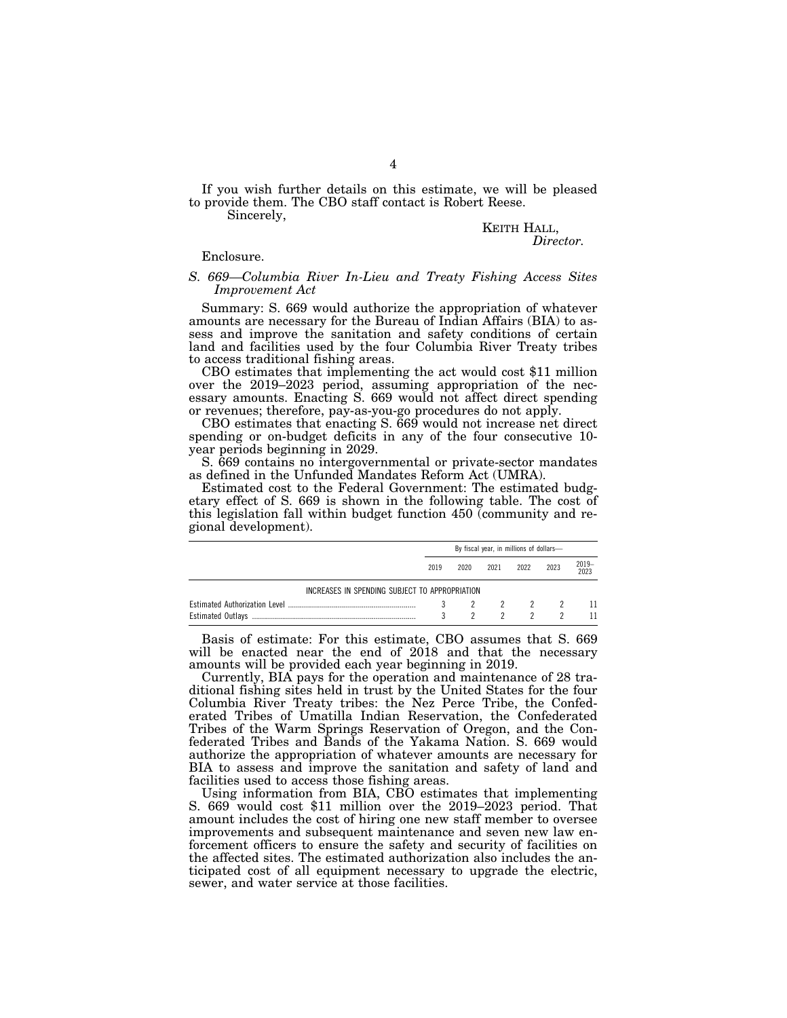If you wish further details on this estimate, we will be pleased to provide them. The CBO staff contact is Robert Reese.

Sincerely,

# KEITH HALL, *Director.*

#### Enclosure.

## *S. 669—Columbia River In-Lieu and Treaty Fishing Access Sites Improvement Act*

Summary: S. 669 would authorize the appropriation of whatever amounts are necessary for the Bureau of Indian Affairs (BIA) to assess and improve the sanitation and safety conditions of certain land and facilities used by the four Columbia River Treaty tribes to access traditional fishing areas.

CBO estimates that implementing the act would cost \$11 million over the 2019–2023 period, assuming appropriation of the necessary amounts. Enacting S. 669 would not affect direct spending or revenues; therefore, pay-as-you-go procedures do not apply.

CBO estimates that enacting S. 669 would not increase net direct spending or on-budget deficits in any of the four consecutive 10 year periods beginning in 2029.

S. 669 contains no intergovernmental or private-sector mandates as defined in the Unfunded Mandates Reform Act (UMRA).

Estimated cost to the Federal Government: The estimated budgetary effect of S. 669 is shown in the following table. The cost of this legislation fall within budget function 450 (community and regional development).

|                                                | By fiscal year, in millions of dollars- |             |      |         |      |           |
|------------------------------------------------|-----------------------------------------|-------------|------|---------|------|-----------|
|                                                | 2019                                    | 2020        | 2021 | 2022    | 2023 | 2019-2023 |
| INCREASES IN SPENDING SUBJECT TO APPROPRIATION |                                         |             |      |         |      |           |
|                                                |                                         | $3^{\circ}$ |      | 2 2 2 2 |      | - 11      |
|                                                |                                         |             |      |         |      |           |

Basis of estimate: For this estimate, CBO assumes that S. 669 will be enacted near the end of 2018 and that the necessary amounts will be provided each year beginning in 2019.

Currently, BIA pays for the operation and maintenance of 28 traditional fishing sites held in trust by the United States for the four Columbia River Treaty tribes: the Nez Perce Tribe, the Confederated Tribes of Umatilla Indian Reservation, the Confederated Tribes of the Warm Springs Reservation of Oregon, and the Confederated Tribes and Bands of the Yakama Nation. S. 669 would authorize the appropriation of whatever amounts are necessary for BIA to assess and improve the sanitation and safety of land and facilities used to access those fishing areas.

Using information from BIA, CBO estimates that implementing S. 669 would cost \$11 million over the 2019–2023 period. That amount includes the cost of hiring one new staff member to oversee improvements and subsequent maintenance and seven new law enforcement officers to ensure the safety and security of facilities on the affected sites. The estimated authorization also includes the anticipated cost of all equipment necessary to upgrade the electric, sewer, and water service at those facilities.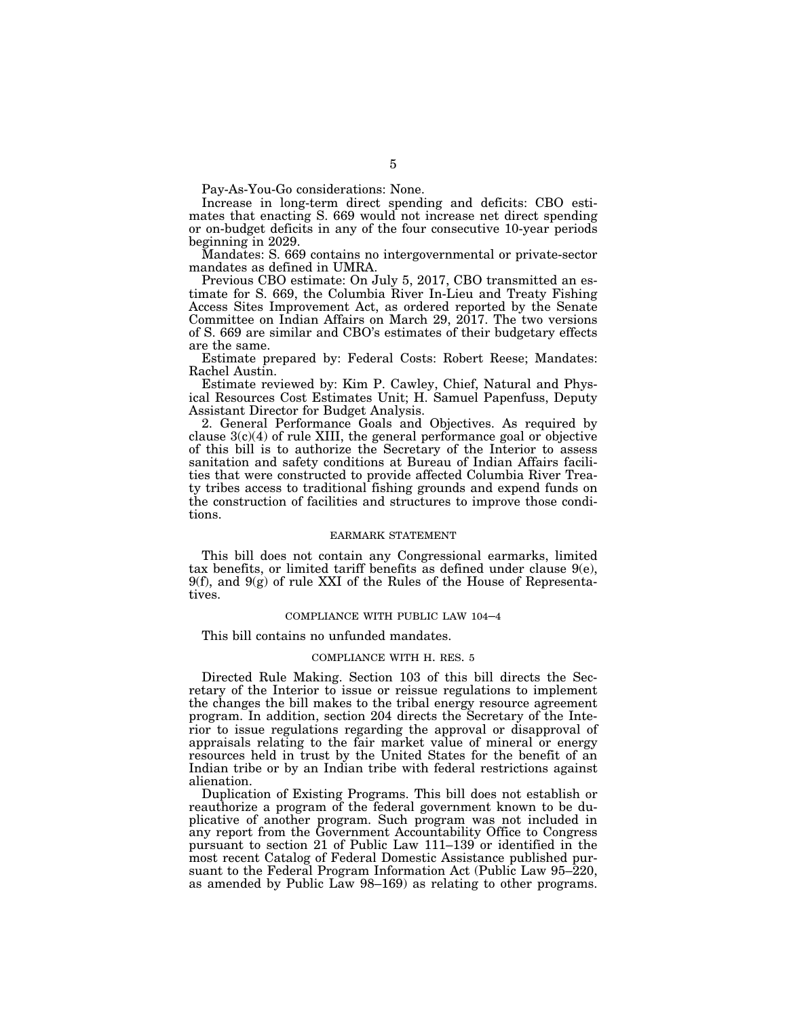Pay-As-You-Go considerations: None.

Increase in long-term direct spending and deficits: CBO estimates that enacting S. 669 would not increase net direct spending or on-budget deficits in any of the four consecutive 10-year periods beginning in 2029.

Mandates: S. 669 contains no intergovernmental or private-sector mandates as defined in UMRA.

Previous CBO estimate: On July 5, 2017, CBO transmitted an estimate for S. 669, the Columbia River In-Lieu and Treaty Fishing Access Sites Improvement Act, as ordered reported by the Senate Committee on Indian Affairs on March 29, 2017. The two versions of S. 669 are similar and CBO's estimates of their budgetary effects are the same.

Estimate prepared by: Federal Costs: Robert Reese; Mandates: Rachel Austin.

Estimate reviewed by: Kim P. Cawley, Chief, Natural and Physical Resources Cost Estimates Unit; H. Samuel Papenfuss, Deputy Assistant Director for Budget Analysis.

2. General Performance Goals and Objectives. As required by clause  $3(c)(4)$  of rule XIII, the general performance goal or objective of this bill is to authorize the Secretary of the Interior to assess sanitation and safety conditions at Bureau of Indian Affairs facilities that were constructed to provide affected Columbia River Treaty tribes access to traditional fishing grounds and expend funds on the construction of facilities and structures to improve those conditions.

## EARMARK STATEMENT

This bill does not contain any Congressional earmarks, limited tax benefits, or limited tariff benefits as defined under clause  $9(e)$ ,  $9(f)$ , and  $9(g)$  of rule XXI of the Rules of the House of Representatives.

## COMPLIANCE WITH PUBLIC LAW 104–4

This bill contains no unfunded mandates.

## COMPLIANCE WITH H. RES. 5

Directed Rule Making. Section 103 of this bill directs the Secretary of the Interior to issue or reissue regulations to implement the changes the bill makes to the tribal energy resource agreement program. In addition, section 204 directs the Secretary of the Interior to issue regulations regarding the approval or disapproval of appraisals relating to the fair market value of mineral or energy resources held in trust by the United States for the benefit of an Indian tribe or by an Indian tribe with federal restrictions against alienation.

Duplication of Existing Programs. This bill does not establish or reauthorize a program of the federal government known to be duplicative of another program. Such program was not included in any report from the Government Accountability Office to Congress pursuant to section 21 of Public Law 111–139 or identified in the most recent Catalog of Federal Domestic Assistance published pursuant to the Federal Program Information Act (Public Law 95–220, as amended by Public Law 98–169) as relating to other programs.